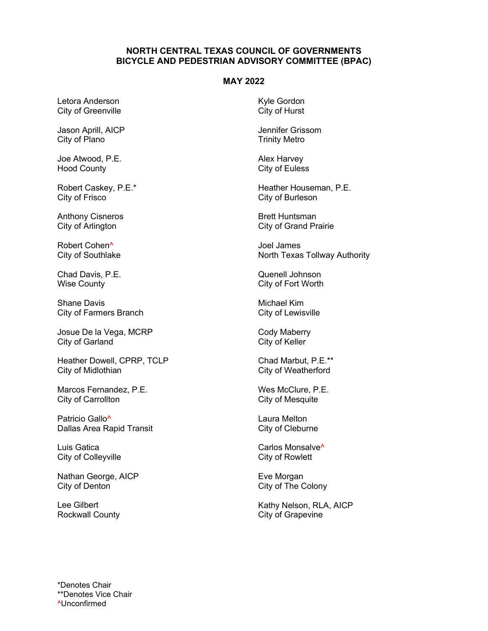## **NORTH CENTRAL TEXAS COUNCIL OF GOVERNMENTS BICYCLE AND PEDESTRIAN ADVISORY COMMITTEE (BPAC)**

## **MAY 2022**

Letora Anderson City of Greenville

Jason Aprill, AICP City of Plano

Joe Atwood, P.E. Hood County

Robert Caskey, P.E.\* City of Frisco

Anthony Cisneros City of Arlington

Robert Cohen^ City of Southlake

Chad Davis, P.E. Wise County

Shane Davis City of Farmers Branch

Josue De la Vega, MCRP City of Garland

Heather Dowell, CPRP, TCLP City of Midlothian

Marcos Fernandez, P.E. City of Carrollton

Patricio Gallo<sup>^</sup> Dallas Area Rapid Transit

Luis Gatica City of Colleyville

Nathan George, AICP City of Denton

Lee Gilbert Rockwall County Kyle Gordon City of Hurst

Jennifer Grissom Trinity Metro

Alex Harvey City of Euless

Heather Houseman, P.E. City of Burleson

Brett Huntsman City of Grand Prairie

Joel James North Texas Tollway Authority

Quenell Johnson City of Fort Worth

Michael Kim City of Lewisville

Cody Maberry City of Keller

Chad Marbut, P.E.\*\* City of Weatherford

Wes McClure, P.E. City of Mesquite

Laura Melton City of Cleburne

Carlos Monsalve<sup>^</sup> City of Rowlett

Eve Morgan City of The Colony

Kathy Nelson, RLA, AICP City of Grapevine

\*Denotes Chair \*\*Denotes Vice Chair ^Unconfirmed